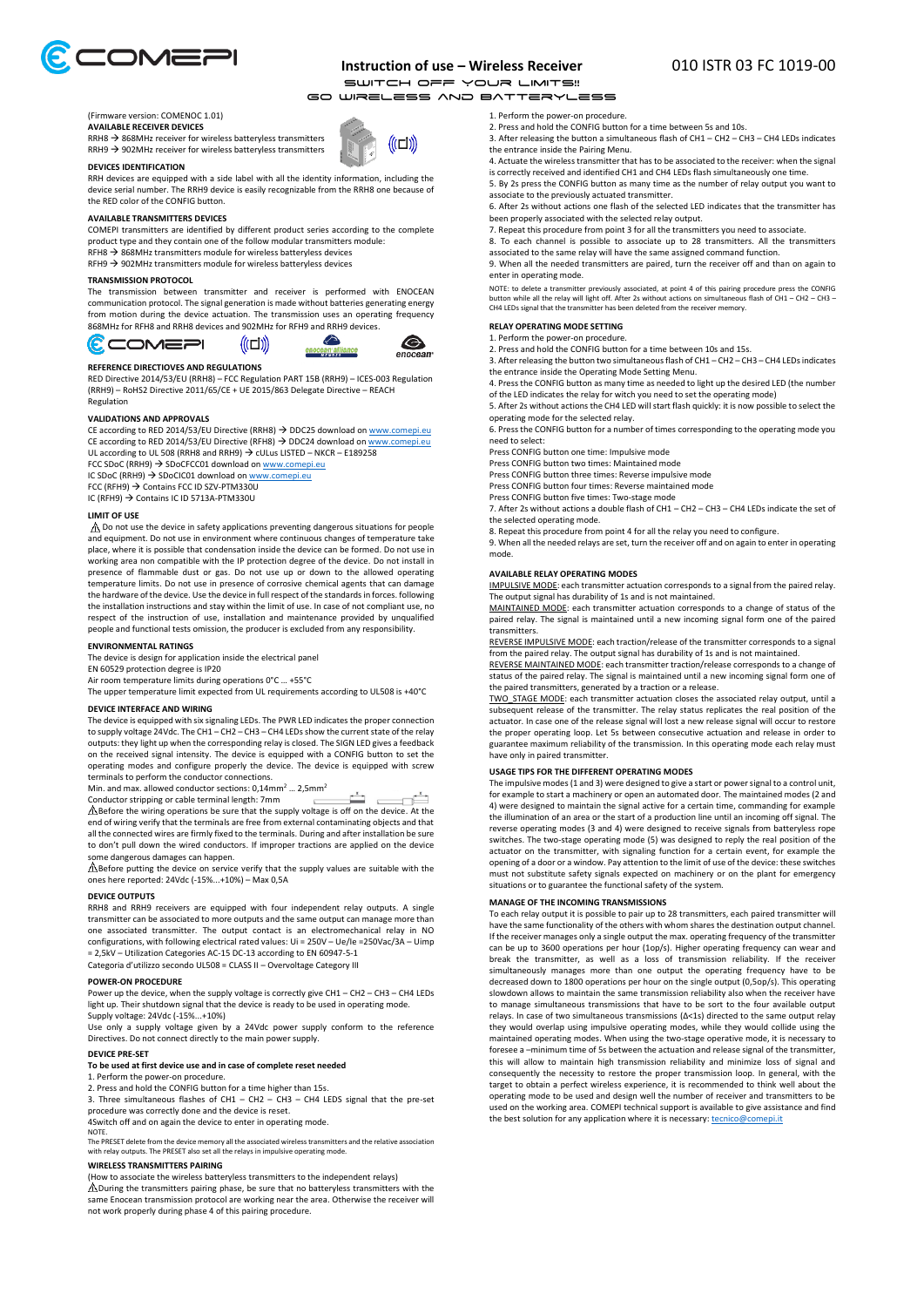

# **Instruction of use – Wireless Receiver** 010 ISTR 03 FC 1019-00

SWITCH OFF YOUR LIMITS!!<br>INRELESS AND BATTERYLESS

(((ロ))

€

enocean

Go Wireless and Batteryless

#### (Firmware version: COMENOC 1.01) **AVAILABLE RECEIVER DEVICES**

 $RRH8 \rightarrow 868$ MHz receiver for wireless batteryless transmitters  $RRH9 \rightarrow 902$ MHz receiver for wireless batteryless transmitters

#### **DEVICES IDENTIFICATION**

RRH devices are equipped with a side label with all the identity information, including the device serial number. The RRH9 device is easily recognizable from the RRH8 one because of the RED color of the CONFIG button.

#### **AVAILABLE TRANSMITTERS DEVICES**

COMEPI transmitters are identified by different product series according to the complete product type and they contain one of the follow modular transmitters module:

RFH8  $\rightarrow$  868MHz transmitters module for wireless batteryless devices

RFH9  $\rightarrow$  902MHz transmitters module for wireless batteryless devices

## **TRANSMISSION PROTOCOL**

The transmission between transmitter and receiver is performed with ENOCEAN communication protocol. The signal generation is made without batteries generating energy from motion during the device actuation. The transmission uses an operating frequency 868MHz for RFH8 and RRH8 devices and 902MHz for RFH9 and RRH9 devices.



#### **REFERENCE DIRECTIOVES AND REGULATIONS**

**COMEAI** 

RED Directive 2014/53/EU (RRH8) – FCC Regulation PART 15B (RRH9) – ICES-003 Regulation (RRH9) – RoHS2 Directive 2011/65/CE + UE 2015/863 Delegate Directive – REACH **Regulation** 

### **VALIDATIONS AND APPROVALS**

CE according to RED 2014/53/EU Directive (RRH8) → DDC25 download on <u>[www.comepi.eu](http://www.comepi.eu/)</u><br>CE according to RED 2014/53/EU Directive (RFH8) → DDC24 download on <u>www.comepi.eu</u> UL according to UL 508 (RRH8 and RRH9)  $\rightarrow$  CULus LISTED – NKCR – E189258

FCC SDoC (RRH9) → SDoCFCC01 download on [www.comepi.eu](http://www.comepi.eu/)<br>IC SDoC (RRH9) → SDoCIC01 download on www.comepi.eu

FCC (RFH9)  $\rightarrow$  Contains FCC ID SZV-PTM330U

IC (RFH9) Contains IC ID 5713A-PTM330U

### **LIMIT OF USE**

G

 $\triangle$  Do not use the device in safety applications preventing dangerous situations for people and equipment. Do not use in environment where continuous changes of temperature take place, where it is possible that condensation inside the device can be formed. Do not use in working area non compatible with the IP protection degree of the device. Do not install in presence of flammable dust or gas. Do not use up or down to the allowed operating temperature limits. Do not use in presence of corrosive chemical agents that can damage the hardware of the device. Use the device in full respect of the standards in forces. following the installation instructions and stay within the limit of use. In case of not compliant use, no respect of the instruction of use, installation and maintenance provided by unqualified people and functional tests omission, the producer is excluded from any responsibility.

#### **ENVIRONMENTAL RATINGS**

The device is design for application inside the electrical panel

EN 60529 protection degree is IP20 Air room temperature limits during operations 0°C … +55°C

The upper temperature limit expected from UL requirements according to UL508 is +40°C

## **DEVICE INTERFACE AND WIRING**

The device is equipped with six signaling LEDs. The PWR LED indicates the proper connection to supply voltage 24Vdc. The CH1 – CH2 – CH3 – CH4 LEDsshow the current state of the relay outputs: they light up when the corresponding relay is closed. The SIGN LED gives a feedback on the received signal intensity. The device is equipped with a CONFIG button to set the operating modes and configure properly the device. The device is equipped with screw terminals to perform the conductor connections.

Min. and max. allowed conductor sections: 0,14mm<sup>2</sup> ... 2,5mm<sup>2</sup>

Conductor stripping or cable terminal length: 7mm<br>  $\triangle$ Before the wiring operations be sure that the supply voltage is off on the device. At the end of wiring verify that the terminals are free from external contaminating objects and that all the connected wires are firmly fixed to the terminals. During and after installation be sure to don't pull down the wired conductors. If improper tractions are applied on the device me dangerous damages can happen.

 Before putting the device on service verify that the supply values are suitable with the ones here reported: 24Vdc (-15%...+10%) – Max 0,5A

## **DEVICE OUTPUTS**

RRH8 and RRH9 receivers are equipped with four independent relay outputs. A single transmitter can be associated to more outputs and the same output can manage more than one associated transmitter. The output contact is an electromechanical relay in NO configurations, with following electrical rated values: Ui = 250V – Ue/Ie =250Vac/3A – Uimp = 2,5kV – Utilization Categories AC-15 DC-13 according to EN 60947-5-1 Categoria d'utilizzo secondo UL508 = CLASS II – Overvoltage Category III

#### **POWER-ON PROCEDURE**

Power up the device, when the supply voltage is correctly give CH1 - CH2 - CH3 - CH4 LEDs light up. Their shutdown signal that the device is ready to be used in operating mode. Supply voltage: 24Vdc (-15%...+10%)

Use only a supply voltage given by a 24Vdc power supply conform to the reference Directives. Do not connect directly to the main power supply.

#### **DEVICE PRE-SET**

### **To be used at first device use and in case of complete reset needed**

1. Perform the power-on procedure.

2. Press and hold the CONFIG button for a time higher than 15s.

3. Three simultaneous flashes of CH1 – CH2 – CH3 – CH4 LEDS signal that the pre-set procedure was correctly done and the device is reset.

4Switch off and on again the device to enter in operating mode.

NOTE.

The PRESET delete from the device memory all the associated wireless transmitters and the relative association with relay outputs. The PRESET also set all the relays in impulsive operating mode.

## **WIRELESS TRANSMITTERS PAIRING**

(How to associate the wireless batteryless transmitters to the independent relays)

 $\triangle$  During the transmitters pairing phase, be sure that no batteryless transmitters with the same Enocean transmission protocol are working near the area. Otherwise the receiver will not work properly during phase 4 of this pairing procedure.

1. Perform the power-on procedure.

2. Press and hold the CONFIG button for a time between 5s and 10s.

3. After releasing the button a simultaneous flash of CH1 - CH2 - CH3 - CH4 LEDs indicate the entrance inside the Pairing Menu. 4. Actuate the wireless transmitter that has to be associated to the receiver: when the signal

is correctly received and identified CH1 and CH4 LEDs flash simultaneously one time. 5. By 2s press the CONFIG button as many time as the number of relay output you want to

associate to the previously actuated transmitter. 6. After 2s without actions one flash of the selected LED indicates that the transmitter has

been properly associated with the selected relay output.

7. Repeat this procedure from point 3 for all the transmitters you need to associate.

8. To each channel is possible to associate up to 28 transmitters. All the transmitters associated to the same relay will have the same assigned command function. 9. When all the needed transmitters are paired, turn the receiver off and than on again to

enter in operating mode.

NOTE: to delete a transmitter previously associated, at point 4 of this pairing procedure press the CONFIG<br>button while all the relay will light off. After 2s without actions on simultaneous flash of CH1 – CH2 – CH3 –<br>CH4

### **RELAY OPERATING MODE SETTING**

1. Perform the power-on procedure.

2. Press and hold the CONFIG button for a time between 10s and 15s.

3. After releasing the button two simultaneous flash of CH1 – CH2 – CH3 – CH4 LEDs indicates

the entrance inside the Operating Mode Setting Menu. 4. Press the CONFIG button as many time as needed to light up the desired LED (the number of the LED indicates the relay for witch you need to set the operating mode)

5. After 2s without actions the CH4 LED will start flash quickly: it is now possible to select the operating mode for the selected relay. 6. Press the CONFIG button for a number of times corresponding to the operating mode you

need to select:

Press CONFIG button one time: Impulsive mode

Press CONFIG button two times: Maintained mode

Press CONFIG button three times: Reverse impulsive mode

Press CONFIG button four times: Reverse maintained mode

Press CONFIG button five times: Two-stage mode

7. After 2s without actions a double flash of CH1 – CH2 – CH3 – CH4 LEDs indicate the set of the selected operating mode.

8. Repeat this procedure from point 4 for all the relay you need to configure.

9. When all the needed relays are set, turn the receiver off and on again to enter in operating mode.

## **AVAILABLE RELAY OPERATING MODES**

IMPULSIVE MODE: each transmitter actuation corresponds to a signal from the paired relay. The output signal has durability of 1s and is not maintained.

MAINTAINED MODE: each transmitter actuation corresponds to a change of status of the paired relay. The signal is maintained until a new incoming signal form one of the paired transmitters.

REVERSE IMPULSIVE MODE: each traction/release of the transmitter corresponds to a signal from the paired relay. The output signal has durability of 1s and is not maintained.

REVERSE MAINTAINED MODE: each transmitter traction/release corresponds to a change of status of the paired relay. The signal is maintained until a new incoming signal form one of the paired transmitters, generated by a traction or a release.

TWO\_STAGE MODE: each transmitter actuation closes the associated relay output, until a subsequent release of the transmitter. The relay status replicates the real position of the actuator. In case one of the release signal will lost a new release signal will occur to restore the proper operating loop. Let 5s between consecutive actuation and release in order to guarantee maximum reliability of the transmission. In this operating mode each relay must have only in paired transmitter.

## **USAGE TIPS FOR THE DIFFERENT OPERATING MODES**

The impulsive modes (1 and 3) were designed to give a start or power signal to a control unit, for example to start a machinery or open an automated door. The maintained modes (2 and 4) were designed to maintain the signal active for a certain time, commanding for example the illumination of an area or the start of a production line until an incoming off signal. The reverse operating modes (3 and 4) were designed to receive signals from batteryless rope switches. The two-stage operating mode (5) was designed to reply the real position of the actuator on the transmitter, with signaling function for a certain event, for example the opening of a door or a window. Pay attention to the limit of use of the device: these switches must not substitute safety signals expected on machinery or on the plant for emergency situations or to guarantee the functional safety of the system.

## **MANAGE OF THE INCOMING TRANSMISSIONS**

To each relay output it is possible to pair up to 28 transmitters, each paired transmitter will have the same functionality of the others with whom shares the destination output channel. If the receiver manages only a single output the max. operating frequency of the transmitter can be up to 3600 operations per hour (1op/s). Higher operating frequency can wear and break the transmitter, as well as a loss of transmission reliability. If the receiver simultaneously manages more than one output the operating frequency have to be decreased down to 1800 operations per hour on the single output (0,5op/s). This operating slowdown allows to maintain the same transmission reliability also when the receiver have to manage simultaneous transmissions that have to be sort to the four available output relays. In case of two simultaneous transmissions (Δ<1s) directed to the same output relay they would overlap using impulsive operating modes, while they would collide using the maintained operating modes. When using the two-stage operative mode, it is necessary to foresee a –minimum time of 5s between the actuation and release signal of the transmitter, this will allow to maintain high transmission reliability and minimize loss of signal and consequently the necessity to restore the proper transmission loop. In general, with the target to obtain a perfect wireless experience, it is recommended to think well about the operating mode to be used and design well the number of receiver and transmitters to be used on the working area. COMEPI technical support is available to give assistance and find the best solution for any application where it is necessary: tecnico